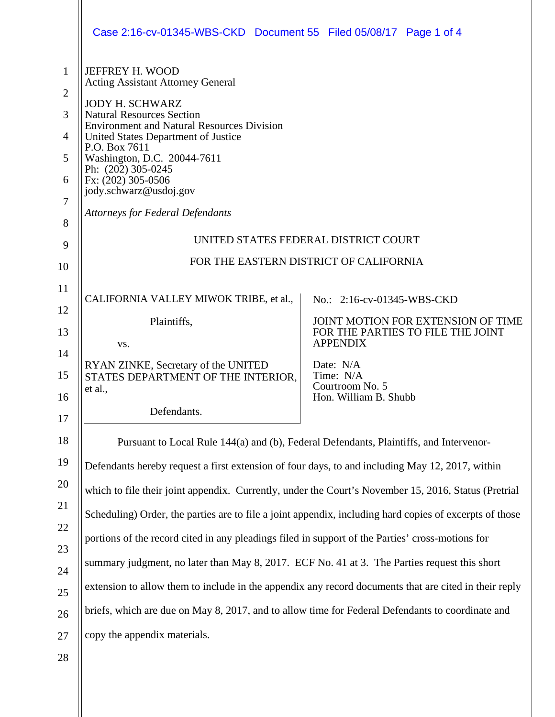|                                                                                | Case 2:16-cv-01345-WBS-CKD  Document 55  Filed 05/08/17  Page 1 of 4                                                                                                                                                                                                                                                                                                                                                                                                                                                                                                                                                                                                                                                                                                |                                                                                                                                                                                                |  |
|--------------------------------------------------------------------------------|---------------------------------------------------------------------------------------------------------------------------------------------------------------------------------------------------------------------------------------------------------------------------------------------------------------------------------------------------------------------------------------------------------------------------------------------------------------------------------------------------------------------------------------------------------------------------------------------------------------------------------------------------------------------------------------------------------------------------------------------------------------------|------------------------------------------------------------------------------------------------------------------------------------------------------------------------------------------------|--|
| $\mathbf{1}$<br>$\overline{2}$<br>3<br>4<br>5<br>6<br>$\overline{7}$<br>8<br>9 | JEFFREY H. WOOD<br><b>Acting Assistant Attorney General</b><br><b>JODY H. SCHWARZ</b><br><b>Natural Resources Section</b><br><b>Environment and Natural Resources Division</b><br>United States Department of Justice<br>P.O. Box 7611<br>Washington, D.C. 20044-7611<br>Ph: (202) 305-0245<br>Fx: (202) 305-0506<br>jody.schwarz@usdoj.gov<br><b>Attorneys for Federal Defendants</b><br>UNITED STATES FEDERAL DISTRICT COURT                                                                                                                                                                                                                                                                                                                                      |                                                                                                                                                                                                |  |
| 10                                                                             | FOR THE EASTERN DISTRICT OF CALIFORNIA                                                                                                                                                                                                                                                                                                                                                                                                                                                                                                                                                                                                                                                                                                                              |                                                                                                                                                                                                |  |
| 11<br>12<br>13<br>14<br>15<br>16<br>17                                         | CALIFORNIA VALLEY MIWOK TRIBE, et al.,<br>Plaintiffs,<br>VS.<br>RYAN ZINKE, Secretary of the UNITED<br>STATES DEPARTMENT OF THE INTERIOR,<br>et al.,<br>Defendants.                                                                                                                                                                                                                                                                                                                                                                                                                                                                                                                                                                                                 | No.: 2:16-cv-01345-WBS-CKD<br>JOINT MOTION FOR EXTENSION OF TIME<br>FOR THE PARTIES TO FILE THE JOINT<br><b>APPENDIX</b><br>Date: N/A<br>Time: N/A<br>Courtroom No. 5<br>Hon. William B. Shubb |  |
| 18<br>19                                                                       | Pursuant to Local Rule 144(a) and (b), Federal Defendants, Plaintiffs, and Intervenor-                                                                                                                                                                                                                                                                                                                                                                                                                                                                                                                                                                                                                                                                              |                                                                                                                                                                                                |  |
| 20<br>21<br>22<br>23<br>24<br>25<br>26<br>27<br>28                             | Defendants hereby request a first extension of four days, to and including May 12, 2017, within<br>which to file their joint appendix. Currently, under the Court's November 15, 2016, Status (Pretrial<br>Scheduling) Order, the parties are to file a joint appendix, including hard copies of excerpts of those<br>portions of the record cited in any pleadings filed in support of the Parties' cross-motions for<br>summary judgment, no later than May 8, 2017. ECF No. 41 at 3. The Parties request this short<br>extension to allow them to include in the appendix any record documents that are cited in their reply<br>briefs, which are due on May 8, 2017, and to allow time for Federal Defendants to coordinate and<br>copy the appendix materials. |                                                                                                                                                                                                |  |
|                                                                                |                                                                                                                                                                                                                                                                                                                                                                                                                                                                                                                                                                                                                                                                                                                                                                     |                                                                                                                                                                                                |  |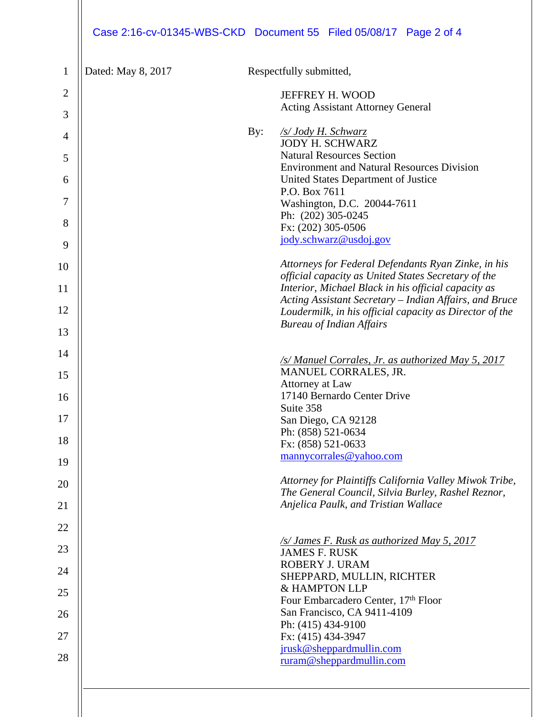| Dated: May 8, 2017 |     | Respectfully submitted,                                                                                    |
|--------------------|-----|------------------------------------------------------------------------------------------------------------|
|                    |     | JEFFREY H. WOOD                                                                                            |
|                    |     | <b>Acting Assistant Attorney General</b>                                                                   |
|                    | By: | <u>/s/ Jody H. Schwarz</u>                                                                                 |
|                    |     | <b>JODY H. SCHWARZ</b><br><b>Natural Resources Section</b>                                                 |
|                    |     | <b>Environment and Natural Resources Division</b>                                                          |
|                    |     | United States Department of Justice<br>P.O. Box 7611                                                       |
|                    |     | Washington, D.C. 20044-7611                                                                                |
|                    |     | Ph: (202) 305-0245<br>Fx: (202) 305-0506                                                                   |
|                    |     | jody.schwarz@usdoj.gov                                                                                     |
|                    |     |                                                                                                            |
|                    |     | Attorneys for Federal Defendants Ryan Zinke, in his<br>official capacity as United States Secretary of the |
|                    |     | Interior, Michael Black in his official capacity as                                                        |
|                    |     | Acting Assistant Secretary - Indian Affairs, and Bruce                                                     |
|                    |     | Loudermilk, in his official capacity as Director of the<br><b>Bureau of Indian Affairs</b>                 |
|                    |     |                                                                                                            |
|                    |     | /s/ Manuel Corrales, Jr. as authorized May 5, 2017                                                         |
|                    |     | MANUEL CORRALES, JR.                                                                                       |
|                    |     | Attorney at Law<br>17140 Bernardo Center Drive                                                             |
|                    |     | Suite 358                                                                                                  |
|                    |     | San Diego, CA 92128                                                                                        |
|                    |     | Ph: (858) 521-0634<br>Fx: (858) 521-0633                                                                   |
|                    |     | mannycorrales@yahoo.com                                                                                    |
|                    |     | Attorney for Plaintiffs California Valley Miwok Tribe,                                                     |
|                    |     | The General Council, Silvia Burley, Rashel Reznor,                                                         |
|                    |     | Anjelica Paulk, and Tristian Wallace                                                                       |
|                    |     |                                                                                                            |
|                    |     | /s/ James F. Rusk as authorized May 5, 2017<br><b>JAMES F. RUSK</b>                                        |
|                    |     | ROBERY J. URAM                                                                                             |
|                    |     | SHEPPARD, MULLIN, RICHTER<br>& HAMPTON LLP                                                                 |
|                    |     | Four Embarcadero Center, 17th Floor                                                                        |
|                    |     | San Francisco, CA 9411-4109                                                                                |
|                    |     | Ph: (415) 434-9100<br>Fx: (415) 434-3947                                                                   |
|                    |     | jrusk@sheppardmullin.com                                                                                   |
|                    |     | ruram@sheppardmullin.com                                                                                   |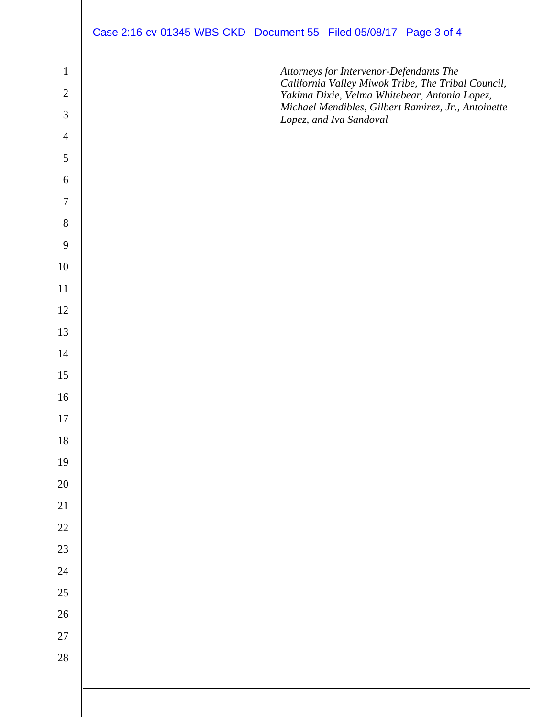|                  | Case 2:16-cv-01345-WBS-CKD Document 55 Filed 05/08/17 Page 3 of 4                                    |
|------------------|------------------------------------------------------------------------------------------------------|
| $\mathbf{1}$     | Attorneys for Intervenor-Defendants The<br>California Valley Miwok Tribe, The Tribal Council,        |
| $\sqrt{2}$       | Yakima Dixie, Velma Whitebear, Antonia Lopez,<br>Michael Mendibles, Gilbert Ramirez, Jr., Antoinette |
| $\mathfrak{Z}$   | Lopez, and Iva Sandoval                                                                              |
| $\overline{4}$   |                                                                                                      |
| $\sqrt{5}$       |                                                                                                      |
| $\boldsymbol{6}$ |                                                                                                      |
| $\overline{7}$   |                                                                                                      |
| $\, 8$<br>9      |                                                                                                      |
| 10               |                                                                                                      |
| 11               |                                                                                                      |
| 12               |                                                                                                      |
| 13               |                                                                                                      |
| 14               |                                                                                                      |
| 15               |                                                                                                      |
| 16               |                                                                                                      |
| $17\,$           |                                                                                                      |
| $18\,$           |                                                                                                      |
| 19               |                                                                                                      |
| $20\,$           |                                                                                                      |
| 21               |                                                                                                      |
| 22               |                                                                                                      |
| 23               |                                                                                                      |
| $24\,$           |                                                                                                      |
| 25               |                                                                                                      |
| 26               |                                                                                                      |
| 27               |                                                                                                      |
| 28               |                                                                                                      |
|                  |                                                                                                      |
|                  |                                                                                                      |